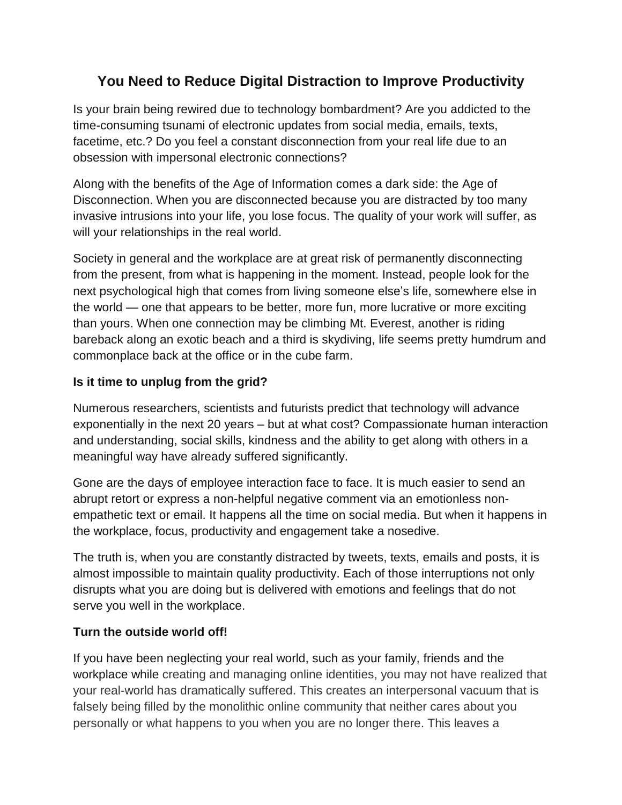## **You Need to Reduce Digital Distraction to Improve Productivity**

Is your brain being rewired due to technology bombardment? Are you addicted to the time-consuming tsunami of electronic updates from social media, emails, texts, facetime, etc.? Do you feel a constant disconnection from your real life due to an obsession with impersonal electronic connections?

Along with the benefits of the Age of Information comes a dark side: the Age of Disconnection. When you are disconnected because you are distracted by too many invasive intrusions into your life, you lose focus. The quality of your work will suffer, as will your relationships in the real world.

Society in general and the workplace are at great risk of permanently disconnecting from the present, from what is happening in the moment. Instead, people look for the next psychological high that comes from living someone else's life, somewhere else in the world — one that appears to be better, more fun, more lucrative or more exciting than yours. When one connection may be climbing Mt. Everest, another is riding bareback along an exotic beach and a third is skydiving, life seems pretty humdrum and commonplace back at the office or in the cube farm.

## **Is it time to unplug from the grid?**

Numerous researchers, scientists and futurists predict that technology will advance exponentially in the next 20 years – but at what cost? Compassionate human interaction and understanding, social skills, kindness and the ability to get along with others in a meaningful way have already suffered significantly.

Gone are the days of employee interaction face to face. It is much easier to send an abrupt retort or express a non-helpful negative comment via an emotionless nonempathetic text or email. It happens all the time on social media. But when it happens in the workplace, focus, productivity and engagement take a nosedive.

The truth is, when you are constantly distracted by tweets, texts, emails and posts, it is almost impossible to maintain quality productivity. Each of those interruptions not only disrupts what you are doing but is delivered with emotions and feelings that do not serve you well in the workplace.

## **Turn the outside world off!**

If you have been neglecting your real world, such as your family, friends and the workplace while creating and managing online identities, you may not have realized that your real-world has dramatically suffered. This creates an interpersonal vacuum that is falsely being filled by the monolithic online community that neither cares about you personally or what happens to you when you are no longer there. This leaves a